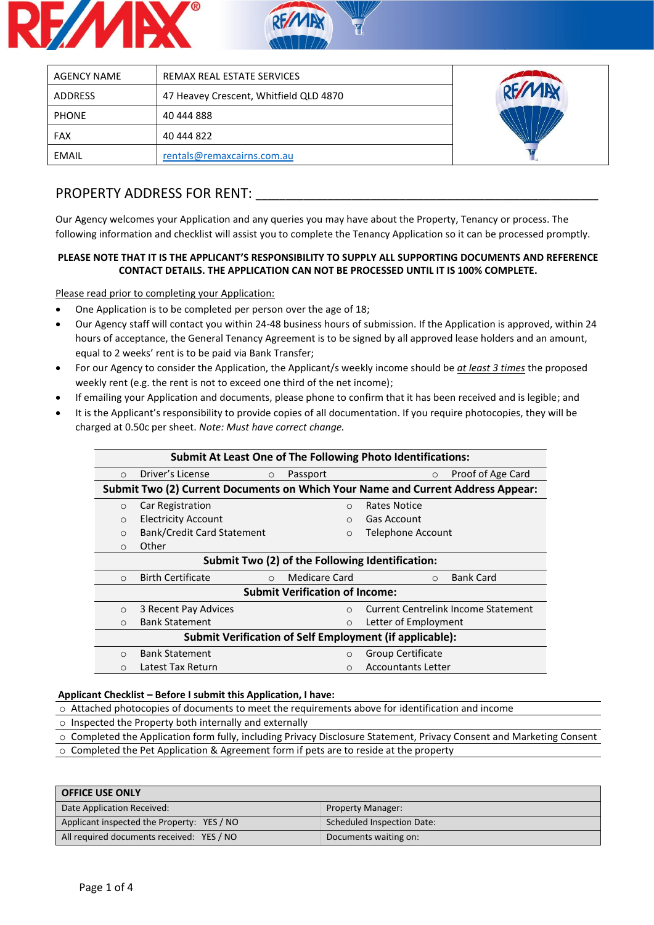



| <b>AGENCY NAME</b> | REMAX REAL ESTATE SERVICES             |  |
|--------------------|----------------------------------------|--|
| <b>ADDRESS</b>     | 47 Heavey Crescent, Whitfield QLD 4870 |  |
| <b>PHONE</b>       | 40 444 888                             |  |
| <b>FAX</b>         | 40 444 822                             |  |
| EMAIL              | rentals@remaxcairns.com.au             |  |

## PROPERTY ADDRESS FOR RENT: **We are all that the set of the set of the set of the set of the set of the set of the set of the set of the set of the set of the set of the set of the set of the set of the set of the set of th**

Our Agency welcomes your Application and any queries you may have about the Property, Tenancy or process. The following information and checklist will assist you to complete the Tenancy Application so it can be processed promptly.

#### **PLEASE NOTE THAT IT IS THE APPLICANT'S RESPONSIBILITY TO SUPPLY ALL SUPPORTING DOCUMENTS AND REFERENCE CONTACT DETAILS. THE APPLICATION CAN NOT BE PROCESSED UNTIL IT IS 100% COMPLETE.**

Please read prior to completing your Application:

- One Application is to be completed per person over the age of 18;
- Our Agency staff will contact you within 24-48 business hours of submission. If the Application is approved, within 24 hours of acceptance, the General Tenancy Agreement is to be signed by all approved lease holders and an amount, equal to 2 weeks' rent is to be paid via Bank Transfer;
- For our Agency to consider the Application, the Applicant/s weekly income should be *at least 3 times* the proposed weekly rent (e.g. the rent is not to exceed one third of the net income);
- If emailing your Application and documents, please phone to confirm that it has been received and is legible; and
- It is the Applicant's responsibility to provide copies of all documentation. If you require photocopies, they will be charged at 0.50c per sheet. *Note: Must have correct change.*

| <b>Submit At Least One of The Following Photo Identifications:</b> |                                     |                                       |                                                                                 |  |  |
|--------------------------------------------------------------------|-------------------------------------|---------------------------------------|---------------------------------------------------------------------------------|--|--|
| $\Omega$                                                           | Driver's License<br>$\circ$         | Passport                              | Proof of Age Card<br>$\circ$                                                    |  |  |
|                                                                    |                                     |                                       | Submit Two (2) Current Documents on Which Your Name and Current Address Appear: |  |  |
| $\circ$                                                            | Car Registration                    | $\circ$                               | Rates Notice                                                                    |  |  |
| $\circ$                                                            | <b>Electricity Account</b>          | $\bigcap$                             | Gas Account                                                                     |  |  |
| $\circ$                                                            | Bank/Credit Card Statement          | $\circ$                               | Telephone Account                                                               |  |  |
| $\circ$                                                            | Other                               |                                       |                                                                                 |  |  |
|                                                                    |                                     |                                       | Submit Two (2) of the Following Identification:                                 |  |  |
| $\circ$                                                            | <b>Birth Certificate</b><br>$\circ$ | Medicare Card                         | <b>Bank Card</b><br>$\circ$                                                     |  |  |
|                                                                    |                                     | <b>Submit Verification of Income:</b> |                                                                                 |  |  |
| $\circ$                                                            | 3 Recent Pay Advices                | $\bigcirc$                            | <b>Current Centrelink Income Statement</b>                                      |  |  |
| $\circ$                                                            | <b>Bank Statement</b>               | $\circ$                               | Letter of Employment                                                            |  |  |
| Submit Verification of Self Employment (if applicable):            |                                     |                                       |                                                                                 |  |  |
| $\bigcirc$                                                         | <b>Bank Statement</b>               | $\bigcirc$                            | Group Certificate                                                               |  |  |
| $\circ$                                                            | Latest Tax Return                   | $\circ$                               | <b>Accountants Letter</b>                                                       |  |  |

#### **Applicant Checklist – Before I submit this Application, I have:**

o Attached photocopies of documents to meet the requirements above for identification and income

- o Inspected the Property both internally and externally
- o Completed the Application form fully, including Privacy Disclosure Statement, Privacy Consent and Marketing Consent
- o Completed the Pet Application & Agreement form if pets are to reside at the property

| <b>OFFICE USE ONLY</b>                     |                            |
|--------------------------------------------|----------------------------|
| Date Application Received:                 | <b>Property Manager:</b>   |
| Applicant inspected the Property: YES / NO | Scheduled Inspection Date: |
| All required documents received: YES / NO  | Documents waiting on:      |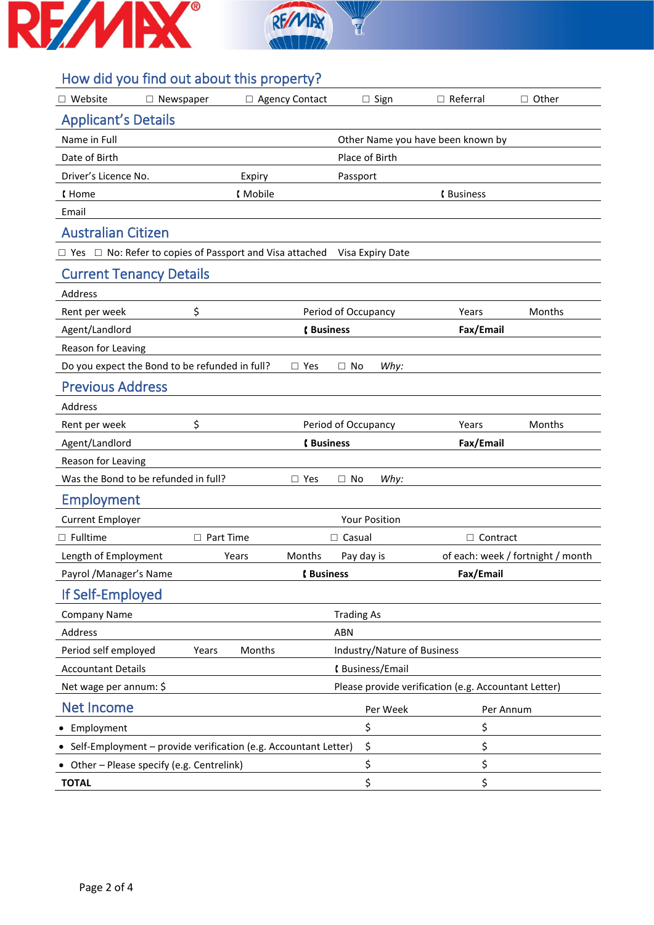



# How did you find out about this property?

| $\Box$ Website                                                      | $\Box$ Newspaper |                  | □ Agency Contact |                        | $\Box$ Sign                 | $\Box$ Referral                                      | $\Box$ Other                      |
|---------------------------------------------------------------------|------------------|------------------|------------------|------------------------|-----------------------------|------------------------------------------------------|-----------------------------------|
| <b>Applicant's Details</b>                                          |                  |                  |                  |                        |                             |                                                      |                                   |
| Name in Full                                                        |                  |                  |                  |                        |                             | Other Name you have been known by                    |                                   |
| Date of Birth                                                       |                  |                  |                  | Place of Birth         |                             |                                                      |                                   |
| Driver's Licence No.                                                |                  | Expiry           |                  | Passport               |                             |                                                      |                                   |
| <b>(Home</b>                                                        |                  | <b>Mobile</b>    |                  |                        |                             | <b>(Business</b>                                     |                                   |
| Email                                                               |                  |                  |                  |                        |                             |                                                      |                                   |
| <b>Australian Citizen</b>                                           |                  |                  |                  |                        |                             |                                                      |                                   |
| $\Box$ Yes $\Box$ No: Refer to copies of Passport and Visa attached |                  |                  |                  |                        | Visa Expiry Date            |                                                      |                                   |
| <b>Current Tenancy Details</b>                                      |                  |                  |                  |                        |                             |                                                      |                                   |
| Address                                                             |                  |                  |                  |                        |                             |                                                      |                                   |
| Rent per week                                                       | \$               |                  |                  | Period of Occupancy    |                             | Years                                                | Months                            |
| Agent/Landlord                                                      |                  |                  | <b>(Business</b> |                        |                             | Fax/Email                                            |                                   |
| Reason for Leaving                                                  |                  |                  |                  |                        |                             |                                                      |                                   |
| Do you expect the Bond to be refunded in full?                      |                  |                  | $\Box$ Yes       | $\Box$ No              | Why:                        |                                                      |                                   |
| <b>Previous Address</b>                                             |                  |                  |                  |                        |                             |                                                      |                                   |
| Address                                                             |                  |                  |                  |                        |                             |                                                      |                                   |
| Rent per week                                                       | \$               |                  |                  | Period of Occupancy    |                             | Years                                                | Months                            |
| Agent/Landlord                                                      |                  |                  | <b>(Business</b> |                        |                             | Fax/Email                                            |                                   |
| Reason for Leaving                                                  |                  |                  |                  |                        |                             |                                                      |                                   |
| Was the Bond to be refunded in full?                                |                  |                  | $\Box$ Yes       | $\Box$ No              | Why:                        |                                                      |                                   |
| Employment                                                          |                  |                  |                  |                        |                             |                                                      |                                   |
| <b>Current Employer</b>                                             |                  |                  |                  | <b>Your Position</b>   |                             |                                                      |                                   |
| $\Box$ Fulltime                                                     |                  | $\Box$ Part Time |                  | $\Box$ Casual          |                             | □ Contract                                           |                                   |
| Length of Employment                                                |                  | Years            | Months           | Pay day is             |                             |                                                      | of each: week / fortnight / month |
| Payrol / Manager's Name                                             |                  |                  | <b>(Business</b> |                        |                             | Fax/Email                                            |                                   |
| If Self-Employed                                                    |                  |                  |                  |                        |                             |                                                      |                                   |
| <b>Company Name</b>                                                 |                  |                  |                  | <b>Trading As</b>      |                             |                                                      |                                   |
| Address                                                             |                  |                  |                  | ABN                    |                             |                                                      |                                   |
| Period self employed                                                | Years            | Months           |                  |                        | Industry/Nature of Business |                                                      |                                   |
| <b>Accountant Details</b>                                           |                  |                  |                  | <b>(Business/Email</b> |                             |                                                      |                                   |
| Net wage per annum: \$                                              |                  |                  |                  |                        |                             | Please provide verification (e.g. Accountant Letter) |                                   |
| <b>Net Income</b>                                                   |                  |                  |                  |                        | Per Week                    |                                                      | Per Annum                         |
| • Employment                                                        |                  |                  |                  | \$                     |                             | \$                                                   |                                   |
| • Self-Employment - provide verification (e.g. Accountant Letter)   |                  |                  |                  | \$                     |                             | \$                                                   |                                   |
| • Other - Please specify (e.g. Centrelink)                          |                  |                  |                  | \$                     |                             | \$                                                   |                                   |
| <b>TOTAL</b>                                                        |                  |                  |                  | \$                     |                             | \$                                                   |                                   |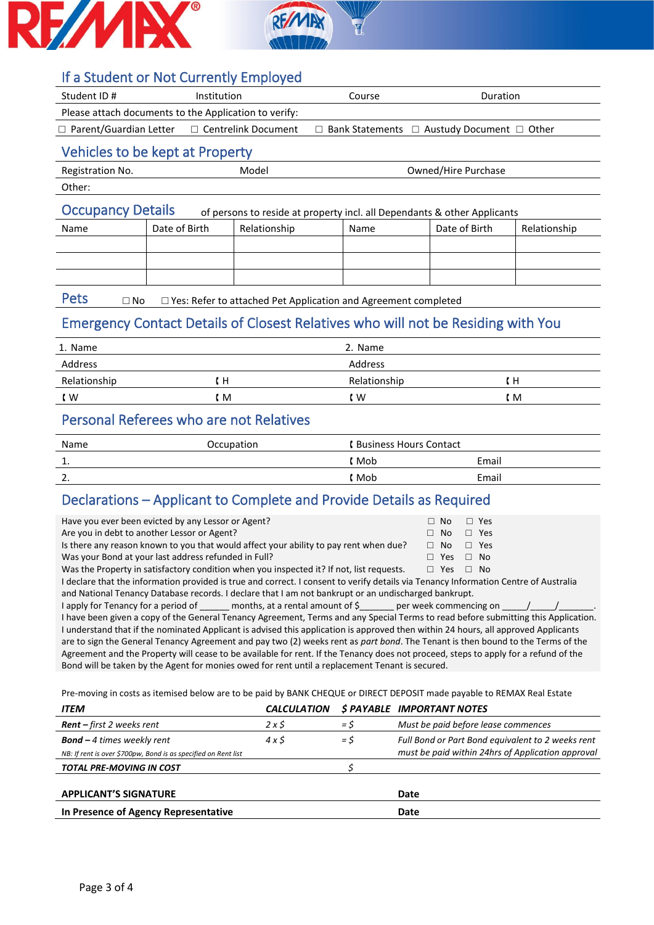



## If a Student or Not Currently Employed

| Student ID#                                                                                          | <b>Institution</b>              |                       | Course                                                      | <b>Duration</b>     |              |
|------------------------------------------------------------------------------------------------------|---------------------------------|-----------------------|-------------------------------------------------------------|---------------------|--------------|
| Please attach documents to the Application to verify:                                                |                                 |                       |                                                             |                     |              |
| $\Box$ Parent/Guardian Letter                                                                        |                                 | □ Centrelink Document | $\Box$ Bank Statements $\Box$ Austudy Document $\Box$ Other |                     |              |
|                                                                                                      | Vehicles to be kept at Property |                       |                                                             |                     |              |
| Registration No.                                                                                     |                                 | Model                 |                                                             | Owned/Hire Purchase |              |
| Other:                                                                                               |                                 |                       |                                                             |                     |              |
| <b>Occupancy Details</b><br>of persons to reside at property incl. all Dependants & other Applicants |                                 |                       |                                                             |                     |              |
| Name                                                                                                 | Date of Birth                   | Relationship          | Name                                                        | Date of Birth       | Relationship |
|                                                                                                      |                                 |                       |                                                             |                     |              |
|                                                                                                      |                                 |                       |                                                             |                     |              |
|                                                                                                      |                                 |                       |                                                             |                     |              |
|                                                                                                      |                                 |                       |                                                             |                     |              |

Pets □ No □ Yes: Refer to attached Pet Application and Agreement completed

## Emergency Contact Details of Closest Relatives who will not be Residing with You

| 1. Name          |     | 2. Name      |    |
|------------------|-----|--------------|----|
| Address          |     | Address      |    |
| Relationship     | tΗ  | Relationship | ιн |
| $\mathfrak{c}$ w | l M | ، w          | (M |

## Personal Referees who are not Relatives

| Name | Occupation | <b>(Business Hours Contact)</b> |       |
|------|------------|---------------------------------|-------|
| 1.   |            | . Mob                           | Email |
| 2.   |            | Mob                             | Email |

## Declarations – Applicant to Complete and Provide Details as Required

| Have you ever been evicted by any Lessor or Agent?                                                                                   |  | $\Box$ No  | $\Box$ Yes             |  |
|--------------------------------------------------------------------------------------------------------------------------------------|--|------------|------------------------|--|
| Are you in debt to another Lessor or Agent?                                                                                          |  | $\Box$ No  | $\Box$ Yes             |  |
| Is there any reason known to you that would affect your ability to pay rent when due?                                                |  | $\Box$ No  | $\Box$ Yes             |  |
| Was your Bond at your last address refunded in Full?                                                                                 |  | $\Box$ Yes | $\Box$ No              |  |
| Was the Property in satisfactory condition when you inspected it? If not, list requests.                                             |  | $\Box$ Yes | $\Box$ No              |  |
| I declare that the information provided is true and correct. I consent to verify details via Tenancy Information Centre of Australia |  |            |                        |  |
| and National Tenancy Database records. I declare that I am not bankrupt or an undischarged bankrupt.                                 |  |            |                        |  |
| Langly for Tenancy for a period of $\qquad$ months at a rental amount of $\zeta$                                                     |  |            | ner week commencing on |  |

I apply for Tenancy for a period of \_\_\_\_\_\_\_ months, at a rental amount of  $\zeta$ \_\_\_\_\_\_\_ per week commencing on \_\_\_\_\_/ I have been given a copy of the General Tenancy Agreement, Terms and any Special Terms to read before submitting this Application. I understand that if the nominated Applicant is advised this application is approved then within 24 hours, all approved Applicants are to sign the General Tenancy Agreement and pay two (2) weeks rent as *part bond*. The Tenant is then bound to the Terms of the Agreement and the Property will cease to be available for rent. If the Tenancy does not proceed, steps to apply for a refund of the Bond will be taken by the Agent for monies owed for rent until a replacement Tenant is secured.

Pre-moving in costs as itemised below are to be paid by BANK CHEQUE or DIRECT DEPOSIT made payable to REMAX Real Estate

| <b>ITEM</b>                                                                                          | <b>CALCULATION</b> |       | <i>SPAYABLE IMPORTANT NOTES</i>                                                                        |
|------------------------------------------------------------------------------------------------------|--------------------|-------|--------------------------------------------------------------------------------------------------------|
| <b>Rent</b> – first 2 weeks rent                                                                     | 2x5                | = S   | Must be paid before lease commences                                                                    |
| <b>Bond</b> $-4$ times weekly rent<br>NB: If rent is over \$700pw, Bond is as specified on Rent list | 4x5                | $=$ S | Full Bond or Part Bond equivalent to 2 weeks rent<br>must be paid within 24hrs of Application approval |
| <b>TOTAL PRE-MOVING IN COST</b>                                                                      |                    |       |                                                                                                        |
| <b>APPLICANT'S SIGNATURE</b>                                                                         |                    |       | Date                                                                                                   |
| In Presence of Agency Representative                                                                 |                    |       | Date                                                                                                   |